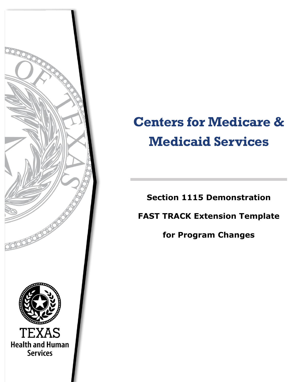

## **Centers for Medicare & Medicaid Services**

**Section 1115 Demonstration**

**FAST TRACK Extension Template** 

**for Program Changes**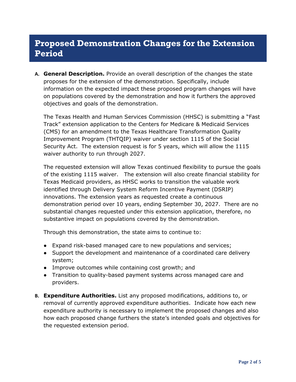## **Proposed Demonstration Changes for the Extension Period**

**A. General Description.** Provide an overall description of the changes the state proposes for the extension of the demonstration. Specifically, include information on the expected impact these proposed program changes will have on populations covered by the demonstration and how it furthers the approved objectives and goals of the demonstration.

The Texas Health and Human Services Commission (HHSC) is submitting a "Fast Track" extension application to the Centers for Medicare & Medicaid Services (CMS) for an amendment to the Texas Healthcare Transformation Quality Improvement Program (THTQIP) waiver under section 1115 of the Social Security Act. The extension request is for 5 years, which will allow the 1115 waiver authority to run through 2027.

The requested extension will allow Texas continued flexibility to pursue the goals of the existing 1115 waiver. The extension will also create financial stability for Texas Medicaid providers, as HHSC works to transition the valuable work identified through Delivery System Reform Incentive Payment (DSRIP) innovations. The extension years as requested create a continuous demonstration period over 10 years, ending September 30, 2027. There are no substantial changes requested under this extension application, therefore, no substantive impact on populations covered by the demonstration.

Through this demonstration, the state aims to continue to:

- Expand risk-based managed care to new populations and services;
- Support the development and maintenance of a coordinated care delivery system;
- Improve outcomes while containing cost growth; and
- Transition to quality-based payment systems across managed care and providers.
- **B. Expenditure Authorities.** List any proposed modifications, additions to, or removal of currently approved expenditure authorities. Indicate how each new expenditure authority is necessary to implement the proposed changes and also how each proposed change furthers the state's intended goals and objectives for the requested extension period.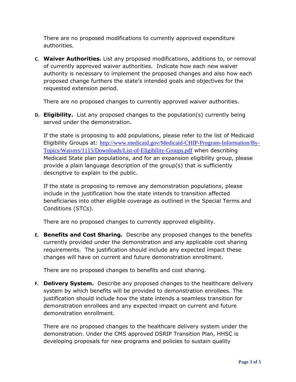There are no proposed modifications to currently approved expenditure authorities.

**C. Waiver Authorities.** List any proposed modifications, additions to, or removal of currently approved waiver authorities. Indicate how each new waiver authority is necessary to implement the proposed changes and also how each proposed change furthers the state's intended goals and objectives for the requested extension period.

There are no proposed changes to currently approved waiver authorities.

**D. Eligibility.** List any proposed changes to the population(s) currently being served under the demonstration.

If the state is proposing to add populations, please refer to the list of Medicaid Eligibility Groups at: [http://www.medicaid.gov/Medicaid-CHIP-Program-Information/By-](http://www.medicaid.gov/Medicaid-CHIP-Program-Information/By-Topics/Waivers/1115/Downloads/List-of-Eligibility-Groups.pdf)[Topics/Waivers/1115/Downloads/List-of-Eligibility-Groups.pdf](http://www.medicaid.gov/Medicaid-CHIP-Program-Information/By-Topics/Waivers/1115/Downloads/List-of-Eligibility-Groups.pdf) when describing Medicaid State plan populations, and for an expansion eligibility group, please provide a plain language description of the group(s) that is sufficiently descriptive to explain to the public.

If the state is proposing to remove any demonstration populations, please include in the justification how the state intends to transition affected beneficiaries into other eligible coverage as outlined in the Special Terms and Conditions (STCs).

There are no proposed changes to currently approved eligibility.

**E. Benefits and Cost Sharing.** Describe any proposed changes to the benefits currently provided under the demonstration and any applicable cost sharing requirements. The justification should include any expected impact these changes will have on current and future demonstration enrollment.

There are no proposed changes to benefits and cost sharing.

**F. Delivery System.** Describe any proposed changes to the healthcare delivery system by which benefits will be provided to demonstration enrollees. The justification should include how the state intends a seamless transition for demonstration enrollees and any expected impact on current and future demonstration enrollment.

There are no proposed changes to the healthcare delivery system under the demonstration. Under the CMS approved DSRIP Transition Plan, HHSC is developing proposals for new programs and policies to sustain quality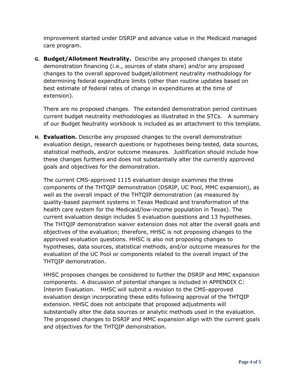improvement started under DSRIP and advance value in the Medicaid managed care program.

**G. Budget/Allotment Neutrality.** Describe any proposed changes to state demonstration financing (i.e., sources of state share) and/or any proposed changes to the overall approved budget/allotment neutrality methodology for determining federal expenditure limits (other than routine updates based on best estimate of federal rates of change in expenditures at the time of extension).

There are no proposed changes. The extended demonstration period continues current budget neutrality methodologies as illustrated in the STCs. A summary of our Budget Neutrality workbook is included as an attachment to this template.

**H. Evaluation.** Describe any proposed changes to the overall demonstration evaluation design, research questions or hypotheses being tested, data sources, statistical methods, and/or outcome measures. Justification should include how these changes furthers and does not substantially alter the currently approved goals and objectives for the demonstration.

The current CMS-approved 1115 evaluation design examines the three components of the THTQIP demonstration (DSRIP, UC Pool, MMC expansion), as well as the overall impact of the THTQIP demonstration (as measured by quality-based payment systems in Texas Medicaid and transformation of the health care system for the Medicaid/low-income population in Texas). The current evaluation design includes 5 evaluation questions and 13 hypotheses. The THTQIP demonstration waiver extension does not alter the overall goals and objectives of the evaluation; therefore, HHSC is not proposing changes to the approved evaluation questions. HHSC is also not proposing changes to hypotheses, data sources, statistical methods, and/or outcome measures for the evaluation of the UC Pool or components related to the overall impact of the THTQIP demonstration.

HHSC proposes changes be considered to further the DSRIP and MMC expansion components. A discussion of potential changes is included in APPENDIX C: Interim Evaluation. HHSC will submit a revision to the CMS-approved evaluation design incorporating these edits following approval of the THTQIP extension. HHSC does not anticipate that proposed adjustments will substantially alter the data sources or analytic methods used in the evaluation. The proposed changes to DSRIP and MMC expansion align with the current goals and objectives for the THTQIP demonstration.